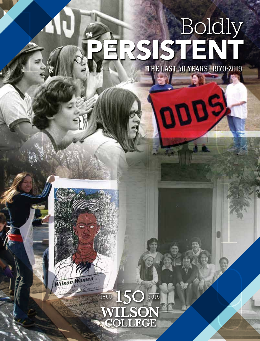# Oly Boldly **PERSISTENT** THE LAST 50 YEARS | 1970-2019

2019

**000S** 

1

9

Wilson Women **1869 150** WILSON<br>COLLEGE

1

99

7

0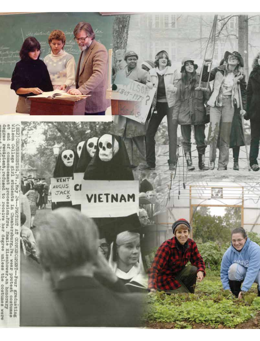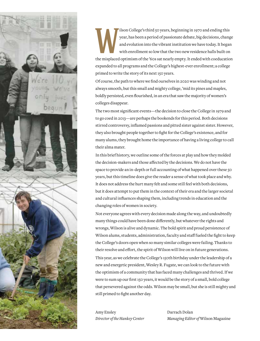

ilson College's third 50 years, beginning in 1970 and ending this<br>year, has been a period of passionate debate, big decisions, chang<br>and evolution into the vibrant institution we have today. It began<br>with enrollment so low year, has been a period of passionate debate, big decisions, change and evolution into the vibrant institution we have today. It began with enrollment so low that the two new residence halls built on the misplaced optimism of the '60s sat nearly empty. It ended with coeducation expanded to all programs and the College's highest-ever enrollment; a college primed to write the story of its next 150 years.

Of course, the path to where we find ourselves in 2020 was winding and not always smooth, but this small and mighty college, 'mid its pines and maples, boldly persisted, even flourished, in an era that saw the majority of women's colleges disappear.

The two most significant events—the decision to close the College in 1979 and to go coed in 2013—are perhaps the bookends for this period. Both decisions stirred controversy, inflamed passions and pitted sister against sister. However, they also brought people together to fight for the College's existence, and for many alums, they brought home the importance of having a living college to call their alma mater.

In this brief history, we outline some of the forces at play and how they molded the decision-makers and those affected by the decisions. We do not have the space to provide an in-depth or full accounting of what happened over these 50 years, but this timeline does give the reader a sense of what took place and why. It does not address the hurt many felt and some still feel with both decisions, but it does attempt to put them in the context of their era and the larger societal and cultural influences shaping them, including trends in education and the changing roles of women in society.

Not everyone agrees with every decision made along the way, and undoubtedly many things could have been done differently, but whatever the rights and wrongs, Wilson is alive and dynamic. The bold spirit and proud persistence of Wilson alums, students, administration, faculty and staff fueled the fight to keep the College's doors open when so many similar colleges were failing. Thanks to their resolve and effort, the spirit of Wilson will live on in future generations. This year, as we celebrate the College's 150th birthday under the leadership of a new and energetic president, Wesley R. Fugate, we can look to the future with the optimism of a community that has faced many challenges and thrived. If we were to sum up our first 150 years, it would be the story of a small, bold college that persevered against the odds. Wilson may be small, but she is still mighty and still primed to fight another day.

Amy Ensley *Director of the Hankey Center*

Darrach Dolan *Managing Editor of* Wilson Magazine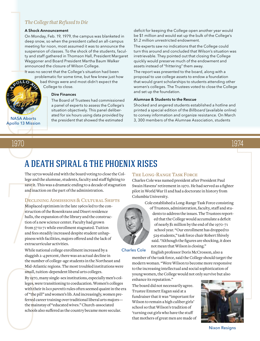#### *The College that Refused to Die*

#### A Shock Announcement

The ASI<br>
ASI<br>
On dee<br>
mee<br>
sust ty a<br>
twas<br>
ann ltwas<br>
(2011.0 On Monday, Feb. 19, 1979, the campus was blanketed in deep snow, so when the president called an all-campus meeting for noon, most assumed it was to announce the suspension of classes. To the shock of the students, faculty and staff gathered in Thomson Hall, President Margaret Waggoner and Board President Martha Baum Walker announced the closure of Wilson College.

It was no secret that the College's situation had been problematic for some time, but few knew just how

bad things were and most didn't expect the College to close.

#### Dire Finances

The Board of Trustees had commissioned a panel of experts to assess the College's situation objectively. This panel deliberated for six hours using data provided by the president that showed the estimated

### 1970

NASA Aborts Apollo 13 Mission deficit for keeping the College open another year would be \$1 million and would eat up the bulk of the College's \$1.2 million unrestricted endowment.

The experts saw no indications that the College could turn this around and concluded that Wilson's situation was irretrievable. They pointed out that closing the College quickly would preserve much of the endowment and assets instead of "frittering" them away.

The report was presented to the board, along with a proposal to use college assets to endow a foundation that would grant scholarships to students attending other women's colleges. The Trustees voted to close the College and set up the foundation.

#### Alumnae & Students to the Rescue

Shocked and angered students established a hotline and printed a special edition of the *Billboard* (available online) to convey information and organize resistance. On March 3, 300 members of the Alumnae Association, students

# 1974

:<br>:..............

# NASA Aborts<br>Apollo 13 Mission A DEATH SPIRAL & THE PHOENIX RISES

The 1970s would end with the board voting to close the College and the alumnae, students, faculty and staff fighting to save it. This was a dramatic ending to a decade of stagnation and inaction on the part of the administration.

#### DECLINING ADMISSIONS & CULTURAL SHIFTS

The 19<br>
lege an<br>
save it<br>
and in<br>
DECI<br>
Mispl:<br>
struct<br>
halls,<br>
tion of<br>
from 19<br>
and fe<br>
piness<br>
extrac<br>
While<br>
sluggi Misplaced optimism in the late 1960s led to the construction of the Rosenkrans and Disert residence halls, the expansion of the library and the construction of a new science center. Faculty had grown from 57 to 71 while enrollment stagnated. Tuition and fees steadily increased despite student unhappiness with facilities, majors offered and the lack of extracurricular activities.

While national college enrollment increased by a sluggish 2-4 percent, there was an actual decline in the number of college-age students in the Northeast and Mid-Atlantic regions. The most troubled institutions were small, tuition-dependent liberal arts colleges.

the num<br>
Mid-Atla<br>
small, tu<br>
By 1970,<br>
leges, we<br>
with the<br>
of "the p<br>
ferred ca<br>
the main<br>
schools a<br>
schools By 1970, many single-sex institutions, especially men's colleges, were transitioning to coeducation. Women's colleges with their *in loco parentis* rules often seemed quaint in the era of "the pill" and women's lib. And increasingly, women preferred career training over traditional liberal arts majors the mainstay of "educated wives." Church-associated schools also suffered as the country became more secular.

#### The Long-Range Task Force

Charles Cole was named president after President Paul Swain Havens' retirement in 1970. He had served as a fighter pilot in World War II and had a doctorate in history from Columbia University.

Cole established a Long-Range Task Force consisting

of Trustees, administration, faculty, staff and students to address the issues. The Trustees reported that the College would accumulate a deficit of nearly \$1 million by the end of the 1970-71 school year. "Our enrollment has dropped to 529 students," task force chair Robert Shively said. "Although the figures are shocking, it does not mean that Wilson is closing."

Charles Cole

English professor Doris McCrosson, also a member of the task force, said the College should target the modern woman. "Were Wilson to become more responsive to the increasing intellectual and social sophistication of young women, the College would not only survive but also enhance its reputation."

The board did not necessarily agree. Trustee Emmett Eagan said at a fundraiser that it was "important for Wilson to remain a high caliber girls' school so that Wilson's tradition of 'turning out girls who have the stuff that mothers of great men are made of



Nixon Resigns

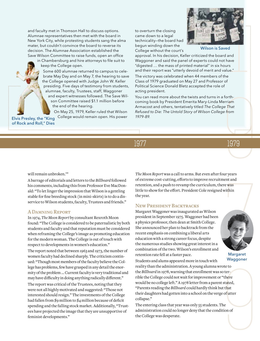and faculty met in Thomson Hall to discuss options. Alumnae representatives then met with the board in New York City, while protesting students sang the alma mater, but couldn't convince the board to reverse its decision. The Alumnae Association established the Save Wilson Committee to raise funds, open an office

in Chambersburg and hire attorneys to file suit to keep the College open.

Some 600 alumnae returned to campus to celebrate May Day and on May 7, the hearing to save the College opened with Judge John W. Keller presiding. Five days of testimony from students, alumnae, faculty, Trustees, staff, Waggoner and expert witnesses followed. The Save Wilson Committee raised \$1.1 million before the end of the hearing.

On May 25, 1979, Keller ruled that Wilson College would remain open. His power to overturn the closing came down to a legal technicality—the board had begun winding down the College without the court's



Wilson is Saved

approval. In his decision, Keller criticized the board and Waggoner and said the panel of experts could not have "digested … the mass of printed material" in six hours and their report was "utterly devoid of merit and value." The victory was celebrated when 44 members of the Class of 1979 graduated on May 27 and Professor of Political Science Donald Bletz accepted the role of acting president.

a forth-<br>Merriam<br>ge That<br>ge from<br>1979 You can read more about the twists and turns in a forthcoming book by President Emerita Mary-Linda Merriam Armacost and others, tentatively titled *The College That Refused to Die: The Untold Story of Wilson College from 1979-89.*

Elvis Presley, the "King of Rock and Roll," Dies

# 1977



will remain unbroken.'"

A barrage of editorials and letters to the *Billboard* followed his comments, including this from Professor Eve MacDonald: "To let linger the impression that Wilson is a gentling stable for fine breeding stock (in mini-skirts) is to do a disservice to Wilson students, faculty, Trustees and friends."

#### A Damning Report

In 1974, *The Moon Report* by consultant Rexroth Moon found: "The College is considered to be paternalistic by both students and faculty and that reputation must be considered when reframing the College's image as promoting education for the modern woman. The College is out of touch with respect to developments in women's education."

The report noted that between 1963 and 1973, the number of women faculty had declined sharply. The criticism continued: "Though most members of the faculty believe the College has problems, few have grasped in any detail the enormity of the problem … Current faculty is very traditional and may have difficulty in doing anything radically different." The report was critical of the Trustees, noting that they were not all highly motivated and suggested: "Those not interested should resign." The investments of the College had fallen from \$9 million to \$4 million because of deficit spending and the falling stock market. Additionally, "Trustees have projected the image that they are unsupportive of feminist developments."

*The Moon Report* was a call to arms. But even after four years of extreme cost-cutting, efforts to improve recruitment and retention, and a push to revamp the curriculum, there was little to show for the effort. President Cole resigned within the year.

#### New President Backtracks

Margaret Waggoner was inaugurated as Wilson president in September 1975. Waggoner had been a physics professor, then dean at Smith College. She announced her plan to backtrack from the recent emphasis on combining a liberal arts education with a strong career focus, despite the numerous studies showing great interest in a combination of the two. Wilson's enrollment and retention rate fell at a faster pace.



Margaret Waggoner

waggoner<br>
ote to<br>
oter-<br>
"there<br>
stated,<br>
ut that<br>
e of utter<br>
"he<br>
tion of Students and alums appeared more in touch with reality than the administration. A young alumna wrote to the *Billboard* in 1978, warning that enrollment was so terrible the College could not wait for improvement or "there would be no college left." A 1978 letter from a parent stated, "Parents reading the *Billboard* could hardly think but that their daughters had gotten into a school on the verge of utter collapse."

The entering class that year was only 55 students. The administration could no longer deny that the condition of the College was desperate.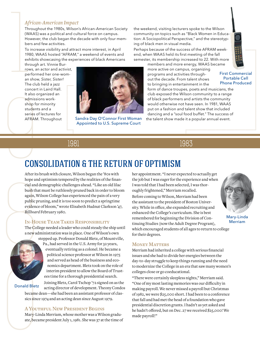#### *African-American Impact*

Throughout the 1980s, Wilson's African-American Society (WAAS) was a political and cultural force on campus. However, the club began the decade with only four members and few activities.

To increase visibility and attract more interest, in April 1980, WAAS hosted "AFRAM," a weekend of events and exhibits showcasing the experiences of black Americans through art. Vinnie Bur-

Afr<br>
Thro<br>
(WA<br>
Hov<br>
ber:<br>
To il<br>
198<br>
exh<br>
thro<br>
per:<br>
an s<br>
The concert<br>
It also o<br>
admissis<br>
shop for<br>
student<br>
series o<br>
AFRAM<br>
CON rows, an actor and activist, performed her one-woman show, *Sister, Sister!* The club held a jazz concert in Laird Hall. It also organized an admissions workshop for minority students and a series of lectures for AFRAM. Throughout



Sandra Day O'Connor First Woman Appointed to U.S. Supreme Court

the weekend, visiting lecturers spoke to the Wilson community on topics such as "Black Women in Education: A Sociopolitical Perspective," and the stereotyping of black men in visual media.

Perhaps because of the success of the AFRAM weekend, when WAAS held its first meeting of the fall semester, its membership increased to 22. With more

members and more energy, WAAS became more active on campus, organizing programs and activities throughout the decade. From talent shows to bringing in entertainment in the



#### First Commercial Portable Cell Phone Produced

form of dance troupes, poets and musicians, the club exposed the Wilson community to a range of black performers and artists the community would otherwise not have seen. In 1981, WAAS put on a fashion and talent show that included dancing and a "soul food buffet." The success of the talent show made it a popular annual event.

## 1981 1983

# CONSOLIDATION & THE RETURN OF OPTIMISM

After its brush with closure, Wilson began the '80s with hope and optimism tempered by the realities of the financial and demographic challenges ahead. "Like an old lilac bush that must be ruthlessly pruned back in order to bloom again, Wilson College has experienced the pain of a very public pruning, and it is too soon to predict a springtime evidence of bloom," wrote Elisabeth Hudnut Clarkson '47, *Billboard* February 1980.

#### In-House Team Takes Responsibility

The College needed a leader who could steady the ship until a new administration was in place. One of Wilson's own



stepped up. Professor Donald Bletz, of Mountville, Pa., had served in the U.S. Army for 32 years, eventually retiring as a colonel. He became a political science professor at Wilson in 1975 and served as head of the business and economics department. Bletz took on the role of interim president to allow the Board of Trustees time for a thorough presidential search. Joining Bletz, Carol Tschop '72 signed on as the

Donald Bletz

acting director of development. Theony Condos became dean—she had been an assistant professor of classics since 1974 and an acting dean since August 1979.

#### A Youthful New President Begins

Mary-Linda Merriam, whose mother was a Wilson graduate, became president July 1, 1981. She was 37 at the time of her appointment. "I never expected to actually get the job but I was eager for the experience and when I was told that I had been selected, I was thoroughly frightened," Merriam recalled. Before coming to Wilson, Merriam had been the assistant to the president of Boston University. While in office, she expanded recruiting and enhanced the College's curriculum. She is best remembered for beginning the Division of Continuing Studies (now the Adult Degree Program), which encouraged students of all ages to return to college for their degrees.



Mary-Linda Merriam

#### **MONEY MATTERS**

Merriam had inherited a college with serious financial issues and she had to divide her energies between the day-to-day struggle to keep things running and the need to modernize the College in an era that saw many women's colleges close or go coeducational.

"There were certainly sleepless nights," Merriam said. "One of my most lasting memories was our difficulty in making payroll. We never missed a payroll but Christmas of 1982, we were \$25,000 short. I had been to a conference that fall and had met the head of a foundation who gave presidential discretion grants. I hadn't as yet asked and he hadn't offered, but on Dec. 27 we received \$25,000! We made payroll!"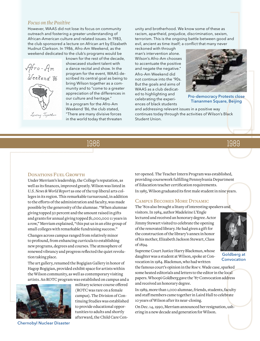#### *Focus on the Positive*

However, WAAS did not lose its focus on community outreach and fostering a greater understanding of African-American culture and related issues. In 1983, the club sponsored a lecture on African art by Elizabeth Hudnut Clarkson. In 1986, Afro-Am Weekend, as the weekend dedicated to the club's programs would be



known for the rest of the decade, showcased student talent with a dance recital and show. In the program for the event, WAAS described its central goal as being to bring Wilson together as a community and to "come to a greater appreciation of the differences in our culture and heritage."

In a program for the Afro-Am Weekend '86, the club stated, "There are many divisive forces in the world today that threaten

1986

unity and brotherhood. We know some of these as racism, apartheid, prejudice, discrimination, sexism, terrorism. This is the ongoing battle between good and evil, ancient as time itself; a conflict that many never

reckoned with through man's intervention alone. Wilson's Afro-Am chooses to accentuate the positive and negate the negative."

Afro-Am Weekend did not continue into the '90s. But the goals and aims of WAAS as a club dedicated to highlighting and celebrating the experiences of black students



rotests close<br>are, Beijing<br>s Black<br>2009 Pro-democracy Protests close Tiananmen Square, Beijing

and addressing relevant issues in a positive way continues today through the activities of Wilson's Black Student Union.



#### DONATIONS FUEL GROWTH

Under Merriam's leadership, the College's reputation, as well as its finances, improved greatly. Wilson was listed in *U.S. News & World Report* as one of the top liberal arts colleges in its region. This remarkable turnaround, in addition to the efforts of the administration and faculty, was made possible by the generosity of the alumnae. "When alumnae giving topped 50 percent and the amount raised in gifts and grants for annual giving topped \$1,000,000 11 years in a row," Merriam explained, "this put us in an elite group of small colleges with remarkable fundraising success."

Changes across campus ranged from relatively minor to profound, from enhancing curricula to establishing new programs, degrees and courses. The atmosphere of renewed vibrancy and progress reflected the quiet revolution taking place.

The art gallery, renamed the Bogigian Gallery in honor of Hagop Bogigian, provided exhibit space for artists within the Wilson community, as well as contemporary visiting artists. An ROTC program was established on campus and a



military science course offered (ROTC was rare on a female campus). The Division of Continuing Studies was established to provide educational opportunities to adults and shortly afterward, the Child Care Center opened. The Teacher Intern Program was established, providing coursework fulfilling Pennsylvania Department of Education teacher certification requirements. In 1985, Wilson graduated its first male student in nine years.

#### Campus Becomes More Dynamic

The '80s also brought a litany of interesting speakers and

visitors. In 1984, author Madeleine L'Engle lectured and received an honorary degree. Actor Jimmy Stewart visited to celebrate the opening of the renovated library. He had given a gift for the construction of the library's annex in honor of his mother, Elizabeth Jackson Stewart, Class of 1894.



Supreme Court Justice Harry Blackmun, whose daughter was a student at Wilson, spoke at Convocation in 1984. Blackmun, who had written

Econvocation<br>sparked<br>e local<br>address<br>s, faculty<br>lebrate<br>on, ushthe famous court's opinion in the Roe v. Wade case, sparked some heated editorials and letters to the editor in the local papers. Whoopi Goldberg gave the '87 Convocation address and received an honorary degree.

In 1989, more than 1,000 alumnae, friends, students, faculty and staff members came together in Laird Hall to celebrate 10 years of Wilson after its near-closing.

On Dec. 14, 1990, Merriam announced her resignation, ushering in a new decade and generation for Wilson.

Goldberg at **Convocation**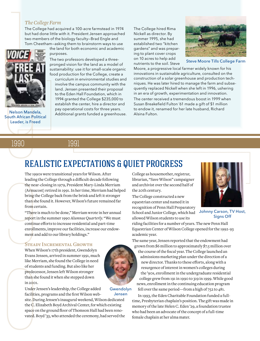#### *The College Farm*

The College had acquired a 100-acre farmstead in 1974 but had done little with it. President Jensen approached two members of the biology faculty—Brad Engle and Tom Cheetham—asking them to brainstorm ways to use

The The The LAST Nelson Mandels<br>
South African Political<br>
Leader, is Free<br>
1990<br>
REA

Nelson Mandela, South African Political Leader, is Freed

the land for both economic and academic purposes.

The two professors developed a threepronged vision for the land as a model of sustainability: use it for small-scale organic food production for the College, create a

curriculum in environmental studies and involve the campus community with the land. Jensen presented their proposal to the Eden Hall Foundation, which in 1994 granted the College \$235,000 to establish the center, hire a director and pay operational costs for three years. Additional grants funded a greenhouse. The College hired Rima Nickell as director. By summer 1995, she had established two "kitchen gardens" and was preparing to plant cover crops on 10 acres to help add nutrients to the soil. Steve



Steve Moore Tills College Farm

Moore, a progressive local farmer widely known for his innovations in sustainable agriculture, consulted on the construction of a solar greenhouse and production techniques. He was later hired to manage the farm and subsequently replaced Nickell when she left in 1996, ushering in an era of growth, experimentation and innovation. The center received a tremendous boost in 1999 when Susan Breakefield Fulton '61 made a gift of \$1 million to endow it, renamed for her late husband, Richard Alsina Fulton.

1990 1991

# REALISTIC EXPECTATIONS & QUIET PROGRESS

The 1990<br>
leading<br>
the near<br>
(Armacc<br>
bring th<br>
than she<br>
from cer<br>
"There i<br>
report in<br>
continuo<br>
enrollm<br>
ment an<br>
STEAD<br>
When W<br>
Evans Je The 1990s were transitional years for Wilson. After leading the College through a difficult decade following the near-closing in 1979, President Mary-Linda Merriam (Armacost) retired in 1991. In her time, Merriam had helped bring the College back from the brink and left it stronger than she found it. However, Wilson's future remained far from certain.

"There is much to be done," Merriam wrote in her annual report in the summer 1990 *Alumnae Quarterly*. "We must continue efforts to increase residential and part-time enrollments, improve our facilities, increase our endowment and add to our library holdings."

#### Steady Incremental Growth

like Mer<br>
of stude<br>
predeces<br>
than she<br>
in 2001.<br>
Under Je<br>
facilities<br>
site. Dur<br>
the C. El<br>
space on<br>
vated. B When Wilson's 17th president, Gwendolyn Evans Jensen, arrived in summer 1991, much like Merriam, she found the College in need of students and funding. But also like her predecessor, Jensen left Wilson stronger than she found it when she stepped down in 2001.



Gwendolyn Jensen

Under Jensen's leadership, the College added facilities, programs and the first Wilson web-

site. During Jensen's inaugural weekend, Wilson dedicated the C. Elizabeth Boyd Archival Center, for which existing space on the ground floor of Thomson Hall had been renovated. Boyd '33, who attended the ceremony, had served the

College as housemother, registrar, librarian, "Save Wilson" campaigner and archivist over the second half of the 20th century.

The College constructed a new equestrian center and named it in recognition of Penn Hall Preparatory School and Junior College, which had allowed Wilson students to use its



Johnny Carson, TV Host, Signs Off

riding facilities for a number of years. The new Penn Hall Equestrian Center of Wilson College opened for the 1992-93 academic year.

The same year, Jensen reported that the endowment had grown from \$6 million to approximately \$7.5 million over

the course of the fiscal year. The College launched an admissions marketing plan under the direction of a new director. Thanks to these efforts, along with a resurgence of interest in women's colleges during the '90s, enrollment in the undergraduate residential college grew from 191 in 1990 to 319 in 1999. While good news, enrollment in the continuing education program fell over the same period—from a high of 752 to 481.

In 1993, the Eden Charitable Foundation funded a fulltime, Presbyterian chaplain's position. The gift was made in memory of the late Helen C. Eden '29, a foundation trustee who had been an advocate of the concept of a full-time female chaplain at her alma mater.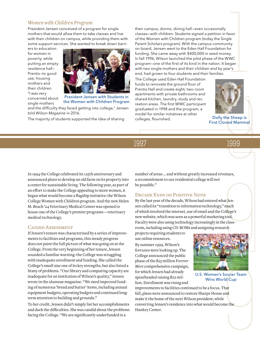#### *Women with Children Program*

President Jensen conceived of a program for single mothers that would allow them to take classes and live with their children on campus, while providing them with some support services. She wanted to break down barri-

ers to education for women in poverty, while putting an empty residence hall— Prentis—to good use, housing mothers and their children. "I was very concerned about single mothers



President Jensen with Students in the Women with Children Program

and the difficulty they faced getting into college," Jensen told *Wilson Magazine* in 2016.

The majority of students supported the idea of sharing

avor<br>
le<br>
vy.<br>
wC<br>
egan<br>
ar's their campus, dorms, dining hall—even occasionally classes—with children. Students signed a petition in favor of the Women with Children program (today the Single Parent Scholars program). With the campus community on board, Jensen went to the Eden Hall Foundation for funding. She came away with \$400,000 in seed money. In fall 1996, Wilson launched the pilot phase of the WWC program—one of the first of its kind in the nation. It began with two single mothers and their children and by year's end, had grown to four students and their families.

The College used Eden Hall Foundation funds to renovate the ground floor of Prentis Hall and create eight, two-room apartments with private bathrooms and shared kitchen, laundry, study and recreation areas. The first WWC participant graduated in 1998 and the program, a model for similar initiatives at other colleges, flourished.



Dolly the Sheep is First Cloned Mammal

## 1997 1999

In 1994 the College celebrated its 125th anniversary and announced plans to develop an old farm on its property into a center for sustainable living. The following year, as part of an effort to make the College appealing to more women, it began what would become a flagship initiative: the Wilson College Women with Children program. And the new Helen M. Beach '24 Veterinary Medical Center was opened to house one of the College's premier programs—veterinary medical technology.

#### Candid Assessment

If Jensen's tenure was characterized by a series of improvements to facilities and programs, this steady progress does not paint the full picture of what was going on at the College. From the very beginning of her tenure, Jensen sounded a familiar warning: the College was struggling with inadequate enrollment and funding. She called the College's small size one of its key strengths, but also listed a litany of problems. "Our library and computing capacity are inadequate for an institution of Wilson's quality," Jensen wrote in the alumnae magazine. "We need improved funding of numerous 'bread and butter' items, including annual equipment budgets, operating budgets and continued longterm attention to building and grounds."

To her credit, Jensen didn't simply list her accomplishments and duck the difficulties. She was candid about the problems facing the College. "We are significantly underfunded in a

number of areas … and without greatly increased revenues, a recommitment to our residential college will not be possible."

#### DECADE ENDS ON POSITIVE NOTE

By the last year of the decade, Wilson had entered what Jensen called its "transition to information technology," much of which involved the internet, use of email and the College's new website, which was seen as a powerful marketing tool. Faculty were also using technology increasingly in the classroom, including using CD-ROMs and assigning research

projects requiring students to use online resources.

By summer 1999, Wilson's fortunes were looking up. The College announced the public phase of the \$25 million *Forever More* comprehensive campaign, for which Jensen had already spearheaded raising \$22 million. Enrollment was rising and



U.S. Women's Soccer Team Wins World Cup

improvements to facilities continued to be a focus. That fall, plans were announced to restore Sharpe House and make it the home of the next Wilson president, while converting Jensen's residence into what would become the Hankey Center.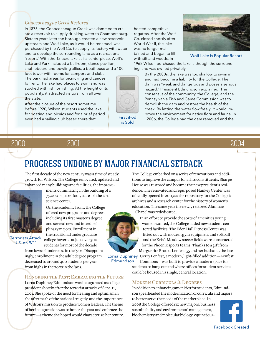#### *Conococheague Creek Restored*

Cono<br>
In 187<br>
ate a r<br>
Sixtee<br>
upstre<br>
purch<br>
and to<br>
"resor<br>
Lake a<br>
shuffle<br>
foot to<br>
The pa<br>
for tre In 1875, the Conococheague Creek was dammed to create a reservoir to supply drinking water to Chambersburg. Sixteen years later the borough created a new reservoir upstream and Wolf Lake, as it would be renamed, was purchased by the Wolf Co. to supply its factory with water and to develop the surrounding land as a recreational "resort." With the 12-acre lake as its centerpiece, Wolf's Lake and Park included a ballroom, dance pavilion, shuffleboard and bowling allies, a boathouse and a 100-

foot tower with rooms for campers and clubs. The park had areas for picnicking and canoes for rent. The lake had places to swim and was stocked with fish for fishing. At the height of its popularity, it attracted visitors from all over the state.

stocked<br>popular<br>the state<br>After the<br>After the before 1<br>for boat<br>even ha After the closure of the resort sometime before 1920, Wilson students used the lake for boating and picnics and for a brief period even had a sailing club based there that

hosted competitive regattas. After the Wolf Co. closed shortly after World War II, the lake was no longer maintained and began to fill with silt and weeds. In



Wolf Lake is Popular Resort

1968 Wilson purchased the lake, although the surrounding land was owned privately.



is Sold

By the 2000s, the lake was too shallow to swim in and had become a liability for the College. The dam was "weak and dangerous and poses a serious hazard," President Edmundson explained. The consensus of the community, the College, and the Pennsylvania Fish and Game Commission was to demolish the dam and restore the health of the creek. By letting the water flow freely, it would improve the environment for native flora and fauna. In First iPod 2006, the College had the dam removed and the

2000 2004

# 2001

.................................

# PROGRESS UNDONE BY MAJOR FINANCIAL SETBACK

The first decade of the new century was a time of steady growth for Wilson. The College renovated, updated and enhanced many buildings and facilities, the improve-



ments culminating in the building of a 75,000-square-foot, state-of-the-art science center.

On the academic front, the College offered new programs and degrees, including its first master's degree and several new and interdisciplinary majors. Enrollment in the traditional undergraduate college hovered at just over 300

Terrorists Attack U.S. on 9/11

students for most of the decade from lows of under 200 in the '90s. Disappointingly, enrollment in the adult degree program decreased to around 400 students per year from highs in the 700s in the '90s.

#### Honoring the Past; Embracing the Future

decrease<br>from high<br>HONOI<br>Lorna D<br>presider<br>2001. Sh<br>the after<br>of Wilso<br>of her in<br>future— Lorna Duphiney Edmundson was inaugurated as college president shortly after the terrorist attacks of Sept. 11, 2001. She spoke of the need for healing and optimism in the aftermath of the national tragedy, and the importance of Wilson's mission to produce women leaders. The theme of her inauguration was to honor the past and embrace the future—a theme she hoped would characterize her tenure.

The College embarked on a series of renovations and additions to improve the campus for all its constituents. Sharpe House was restored and became the new president's residence. The renovated and repurposed Hankey Center was officially opened in 2003 as the repository for the College's archives and a research center for the history of women's education. The same year the newly restored Alumnae

Chapel was rededicated.

In an effort to provide the sorts of amenities young women wanted, the College added new student-centered facilities. The Eden Hall Fitness Center was fitted out with modern gym equipment and softball and the Kris's Meadow soccer fields were constructed for the Phoenix sports teams. Thanks to a gift from Marguerite Brooks Lenfest '55 and her husband, the late Lorna Duphiney Gerry Lenfest, a modern, light-filled addition-Lenfest

Edmundson

Commons—was built to provide a modern space for students to hang out and where offices for student services could be housed in a single, central location.

#### Modern Curricula & Degrees

In addition to enhancing amenities for students, Edmundson spearheaded the modernization of curricula and majors to better serve the needs of the marketplace. In 2008 the College offered six new majors: business sustainability and environmental management, biochemistry and molecular biology, equine jour-

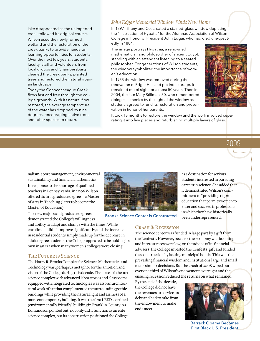lake disappeared as the unimpeded creek followed its original course. Wilson used the newly formed wetland and the restoration of the creek banks to provide hands-on learning opportunities for students. Over the next few years, students, faculty, staff and volunteers from local groups and Chambersburg cleaned the creek banks, planted trees and restored the natural riparian landscape.

Today the Conococheague Creek flows fast and free through the college grounds. With its natural flow restored, the average temperature of the water has dropped by nine degrees, encouraging native trout and other species to return.

#### *John Edgar Memorial Window Finds New Home*

In 1897 Tiffany and Co. created a stained-glass window depicting the "Instruction of Hypatia" for the Alumnae Association of Wilson College in honor of President John Edgar, who had died unexpectedly in 1884.

The image portrays Hypathia, a renowned mathematician and philosopher of ancient Egypt, standing with an attendant listening to a seated philosopher. For generations of Wilson students, the window symbolized the importance of women's education.

In 1955 the window was removed during the renovation of Edgar Hall and put into storage. It remained out of sight for almost 50 years. Then in 2004, the late Mary Stillman '50, who remembered doing calisthenics by the light of the window as a student, agreed to fund its restoration and preservation in honor of her parents.



It took 18 months to restore the window and the work involved separating it into five pieces and refurbishing multiple layers of glass.

## 2009

nalism, sport management, environmental sustainability and financial mathematics. In response to the shortage of qualified teachers in Pennsylvania, in 2006 Wilson offered its first graduate degree—a Master of Arts in Teaching (later to become the Master of Education).

The new majors and graduate degrees



Brooks Science Center is Constructed

careers in science. She added that it demonstrated Wilson's commitment to "providing rigorous education that permits women to enter and succeed in professions in which they have historically been underrepresented."

as a destination for serious students interested in pursuing

#### Crash & Recession

ous<br>ursuing<br>dded that<br>"s com-<br>"igorous<br>women to<br>fessions<br>rically<br>"<br>"t from<br>ooming<br>ncial<br>Hfunded<br>was the The science center was funded in large part by a gift from the Lenfests. However, because the economy was booming and interest rates were low, on the advice of its financial advisers, the College invested the Lenfests' gift and funded the construction by issuing municipal bonds. This was the prevailing financial wisdom and institutions large and small made similar decisions. But the crash of 2008 wiped out over one third of Wilson's endowment overnight and the ensuing recession reduced the returns on what remained.

By the end of the decade, the College did not have the revenues to service its debt and had to take from the endowment to make ends meet.



Barrack Obama Becomes First Black U.S. President

demonstrated the College's willingness and ability to adapt and change with the times. While enrollment didn't improve significantly, and the increase in residential students simply made up for the decrease in adult degree students, the College appeared to be holding its

own in an era when many women's colleges were closing.

#### The Future is Science

The Harry R. Brooks Complex for Science, Mathematics and Technology was, perhaps, a metaphor for the ambition and vision of the College during this decade. The state-of-the-art science complex with advanced laboratories and classrooms equipped with integrated technologies was also an architectural work of art that complimented the surrounding gothic buildings while providing the natural light and airiness of a more contemporary building. It was the first LEED-certified (environmentally friendly) building in Franklin County. As Edmundson pointed out, not only did it function as an elite science complex, but its construction positioned the College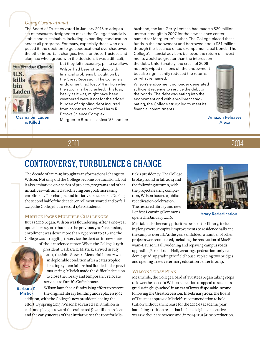#### *Going Coeducational*

The Board of Trustees voted in January 2013 to adopt a set of measures designed to make the College financially stable and sustainable, including expanding coeducation across all programs. For many, especially those who opposed it, the decision to go coeducational overshadowed the other important changes. Even for those Trustees and alumnae who agreed with the decision, it was a difficult,



Osama bin Laden is Killed

but they felt necessary, pill to swallow. Wilson had been struggling with financial problems brought on by the Great Recession. The College's endowment had lost \$14 million when the stock market crashed. This loss, heavy as it was, might have been weathered were it not for the added burden of crippling debt incurred from construction of the Harry R. Brooks Science Complex.

Marguerite Brooks Lenfest '55 and her

husband, the late Gerry Lenfest, had made a \$20 million unrestricted gift in 2007 for the new science center named for Marguerite's father. The College placed these funds in the endowment and borrowed about \$31 million through the issuance of tax-exempt municipal bonds. The College's financial advisers believed the return on invest-

ments would be greater than the interest on the debt. Unfortunately, the crash of 2008 not only wiped millions off the endowment but also significantly reduced the returns on what remained.

Wilson's endowment no longer generated sufficient revenue to service the debt on the bonds. The debt was eating into the endowment and with enrollment stagnating, the College struggled to meet its financial commitments.



Amazon Releases Alexa

# 2011

# 2014

. . . . . . . . . .

# CONTROVERSY, TURBULENCE & CHANGE

The decade of 2010-19 brought transformational change to Wilson. Not only did the College become coeducational, but it also embarked on a series of projects, programs and other initiatives—all aimed at achieving one goal: increasing enrollment. The changes and initiatives succeeded. During the second half of the decade, enrollment soared and by fall 2019, the College had a record 1,620 students.

#### Mistick Faces Multiple Challenges

But as 2010 began, Wilson was floundering. After a one-year uptick in 2009 attributed to the previous year's recession, enrollment was down more than 13 percent to 726 and the College was struggling to service the debt on its new state-



of-the-art science center. When the College's 19th president, Barbara K. Mistick, arrived in July 2011, the John Stewart Memorial Library was in deplorable condition after a catastrophic heating system failure had flooded it the previous spring. Mistick made the difficult decision to close the library and temporarily relocate services to Sarah's Coffeehouse.

Barbara K. **Mistick** 

Wilson launched a fundraising effort to restore the original library building and replace a 1962 addition, with the College's new president leading the effort. By spring 2015, Wilson had raised \$11.8 million in cash and pledges toward the estimated \$12 million project and the early success of that initiative set the tone for Mis-

tick's presidency. The College broke ground in fall 2014 and the following autumn, with the project nearing completion, Wilson hosted a jubilant rededication celebration. The restored library and new Lenfest Learning Commons opened in January 2016.



Library Rededication

Mistick had other early priorities besides the library, including long overdue capital improvements to residence halls and the campus overall. As the years unfolded, a number of other projects were completed, including the renovation of MacElwain-Davison Hall, widening and repaving campus roads, upgrading Rosenkrans Hall, creating a pedestrian-only academic quad, upgrading the field house, replacing two bridges and opening a new veterinary education center in 2019.

#### WILSON TODAY PLAN

Meanwhile, the College Board of Trustees began taking steps to lower the cost of a Wilson education to appeal to students graduating high school in an era of lower disposable income following the Great Recession. In February 2012, the Board of Trustees approved Mistick's recommendation to hold tuition without an increase for the 2012-13 academic year, launching a tuition reset that included eight consecutive years without an increase and, in 2014-15, a \$5,000 reduction.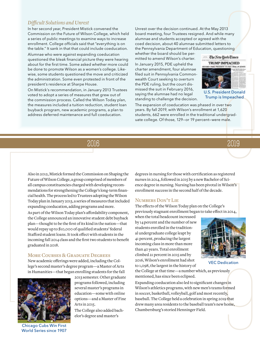#### *Difficult Solutions and Unrest*

In her second year, President Mistick convened the Commission on the Future of Wilson College, which held a series of public meetings to examine ways to increase enrollment. College officials said that "everything is on the table." It sank in that that could include coeducation.

Alumnae who were against expanding coeducation questioned the bleak financial picture they were hearing about for the first time. Some asked whether more could be done to promote Wilson as a women's college. Likewise, some students questioned the move and criticized the administration. Some even protested in front of the president's residence at Sharpe House.

On Mistick's recommendation, in January 2013 Trustees voted to adopt a series of measures that grew out of the commission process. Called the Wilson Today plan, the measures included a tuition reduction, student loan buyback program, new academic programs, a plan to address deferred maintenance and full coeducation.

Unrest over the decision continued. At the May 2013 board meeting, four Trustees resigned. And while many alumnae and students accepted or agreed with the coed decision, about 40 alumnae submitted letters to the Pennsylvania Department of Education, questioning

whether the board should be permitted to amend Wilson's charter. In January 2015, PDE upheld the charter amendment, four alumnae filed suit in Pennsylvania Commonwealth Court seeking to overturn the PDE ruling, but the court dismissed the suit in February 2016, saying the alumnae had no legal standing to challenge the decision.



U.S. President Donald Trump is Impeached

dent Donald<br>
Impeached<br>
er two<br>
520<br>
dergrad-<br>
male.<br>
2019 The expansion of coeducation was phased in over two years. By fall 2019, with Wilson's enrollment at 1,620 students, 662 were enrolled in the traditional undergraduate college. Of those, 129—or 19 percent—were male.

Also in 2012, Mistick formed the Commission on Shaping the Future of Wilson College, a group comprised of members of all campus constituencies charged with developing recommendations for strengthening the College's long-term financial health. The process led to Trustees adopting the Wilson Today plan in January 2013, a series of measures that included expanding coeducation, adding programs and more. As part of the Wilson Today plan's affordability component, the College announced an innovative student debt buyback plan—thought to be the first of its kind in the nation—that would repay up to \$10,000 of qualified students' federal Stafford student loans. It took effect with students in the incoming fall 2014 class and the first two students to benefit graduated in 2018.

#### More Courses & Graduate Degrees

New academic offerings were added, including the College's second master's degree program—a Master of Arts in Humanities—that began enrolling students for the fall



World Series since 1907

2013 semester. Other graduate programs followed, including several master's programs in education—some with online options—and a Master of Fine Arts in 2015.

The College also added bachelor's degree and master's

degrees in nursing for those with certification as registered nurses in 2014, followed in 2015 by a new Bachelor of Science degree in nursing. Nursing has been pivotal in Wilson's enrollment success in the second half of the decade.

#### Numbers Don't Lie

The effects of the Wilson Today plan on the College's previously stagnant enrollment began to take effect in 2014,

when the total headcount increased by 14 percent and the number of new students enrolled in the traditional undergraduate college leapt by 41 percent, producing the largest incoming class in more than more than 40 years. Total enrollment climbed 21 percent in 2015 and by 2016, Wilson's enrollment had shot to 1,098, the largest in the history of



VEC Dedication

the College at that time—a number which, as previously mentioned, has since been eclipsed.

edication<br>ously<br>ges in<br>formed<br>ntly,<br>pag that<br>whome, Expanding coeducation also led to significant changes in Wilson's athletics programs, with new men's teams formed in soccer, basketball, volleyball, golf and most recently, baseball. The College held a celebration in spring 2019 that drew many area residents to the baseball team's new home, Chambersburg's storied Henninger Field.

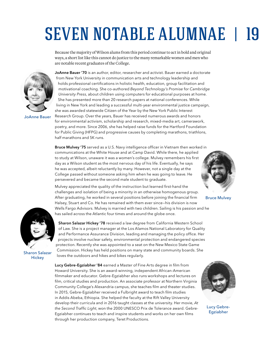# **SEVEN NOTABLE ALUMNAE | 19**

Because the majority of Wilson alums from this period continue to act in bold and original ways, a short list like this cannot do justice to the many remarkable women and men who are notable recent graduates of the College.



JoAnne Bauer

JoAnne Bauer '70 is an author, editor, researcher and activist. Bauer earned a doctorate from New York University in communication arts and technology leadership and holds professional certifications in holistic health, education, group facilitation and motivational coaching. She co-authored *Beyond Technology's Promise* for *Cambridge University Press*, about children using computers for educational purposes at home. She has presented more than 20 research papers at national conferences. While living in New York and leading a successful multi-year environmental justice campaign, she was awarded statewide Citizen of the Year by the New York Public Interest Research Group. Over the years, Bauer has received numerous awards and honors for environmental activism, scholarship and research, mixed-media art, camerawork, poetry, and more. Since 2006, she has helped raise funds for the Hartford Foundation for Public Giving (HFPG) and progressive causes by completing marathons, triathlons, half marathons and 5K runs.

Bruce Mulvey '75 served as a U.S. Navy intelligence officer in Vietnam then worked in communications at the White House and at Camp David. While there, he applied to study at Wilson, unaware it was a women's college. Mulvey remembers his first day as a Wilson student as the most nervous day of his life. Eventually, he says he was accepted, albeit reluctantly by many. However, not a single day at the College passed without someone asking him when he was going to leave. He persevered and became the second male student to graduate.

Mulvey appreciated the quality of the instruction but learned first-hand the challenges and isolation of being a minority in an otherwise homogenous group. After graduating, he worked in several positions before joining the financial firm Halsey, Stuart and Co. He has remained with them ever since—his division is now Wells Fargo Advisors. Mulvey is married with two children. Sailing is his passion and he has sailed across the Atlantic four times and around the globe once.



Bruce Mulvey



Sharon Salazar **Hickey** 

Sharon Salazar Hickey '78 received a law degree from California Western School of Law. She is a project manager at the Los Alamos National Laboratory for Quality and Performance Assurance Division, leading and managing the policy office. Her projects involve nuclear safety, environmental protection and endangered species protection. Recently she was appointed to a seat on the New Mexico State Game Commission. Hickey has held positions on many state and community boards. She loves the outdoors and hikes and bikes regularly.

Lucy Gebre-Egziabher '84 earned a Master of Fine Arts degree in film from Howard University. She is an award-winning, independent African-American filmmaker and educator. Gebre-Egziabher also runs workshops and lectures on film, critical studies and production. An associate professor at Northern Virginia Community College's Alexandria campus, she teaches film and theater studies. In 2015, Gebre-Egziabher received a Fulbright award to teach film studies in Addis Abeba, Ethiopia. She helped the faculty at the Rift Valley University develop their curricula and in 2016 taught classes at the university. Her movie, *At the Second Traffic Light*, won the 2000 UNESCO Prix de Tolerance award. Gebre-Egziabher continues to teach and inspire students and works on her own films through her production company, Teret Productions.



Lucy Gebre-Egziabher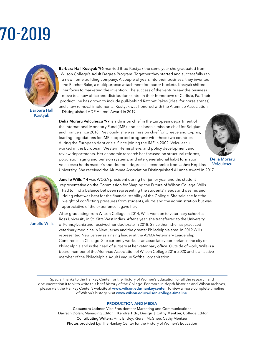# 70-2019



Barbara Hall Kostyak

Barbara Hall Kostyak '96 married Brad Kostyak the same year she graduated from Wilson College's Adult Degree Program. Together they started and successfully ran a new home building company. A couple of years into their business, they invented the Ratchet Rake, a multipurpose attachment for loader buckets. Kostyak shifted her focus to marketing the invention. The success of the venture saw the business move to a new office and distribution center in their hometown of Carlisle, Pa. Their product line has grown to include pull-behind Ratchet Rakes (ideal for horse arenas) and snow removal implements. Kostyak was honored with the Alumnae Association Distinguished ADP Alumni Award in 2019.

Delia Moraru Velculescu '97 is a division chief in the European department of the International Monetary Fund (IMF), and has been a mission chief for Belgium and France since 2018. Previously, she was mission chief for Greece and Cyprus, leading negotiations for IMF-supported programs with these two countries during the European debt crisis. Since joining the IMF in 2002, Velculescu worked in the European, Western Hemisphere, and policy development and review departments. Her economic research has focused on structural reforms, population aging and pension systems, and intergenerational habit formation. Velculescu holds master's and doctoral degrees in economics from Johns Hopkins University. She received the Alumnae Association Distinguished Alumna Award in 2017.



Delia Moraru Velculescu

Janelle Wills

Janelle Wills '14 was WCGA president during her junior year and the student representative on the Commission for Shaping the Future of Wilson College. Wills had to find a balance between representing the students' needs and desires and doing what was best for the financial stability of the College. She said she felt the weight of conflicting pressures from students, alums and the administration but was appreciative of the experience it gave her.

After graduating from Wilson College in 2014, Wills went on to veterinary school at Ross University in St. Kitts West Indies. After a year, she transferred to the University of Pennsylvania and received her doctorate in 2018. Since then, she has practiced veterinary medicine in New Jersey and the greater Philadelphia area. In 2019 Wills represented New Jersey as a rising leader at the AVMA Veterinary Leadership Conference in Chicago. She currently works as an associate veterinarian in the city of Philadelphia and is the head of surgery at her veterinary office. Outside of work, Wills is a board member of the Alumnae Association of Wilson College 2016-2020 and is an active member of the Philadelphia Adult League Softball organization.

Special thanks to the Hankey Center for the History of Women's Education for all the research and documentation it took to write this brief history of the College. For more in-depth histories and Wilson archives, please visit the Hankey Center's website at www.wilson.edu/hankeycenter. To view a more complete timeline of Wilson's history, visit www.wilson.edu/wilson-college-timeline.

#### PRODUCTION AND MEDIA

Cassandra Latimer, Vice President for Marketing and Communications Darrach Dolan, Managing Editor | Kendra Tidd, Design | Cathy Mentzer, College Editor Contributing Writers: Amy Ensley, Kieran McGhee, Cathy Mentzer Photos provided by: The Hankey Center for the History of Women's Education